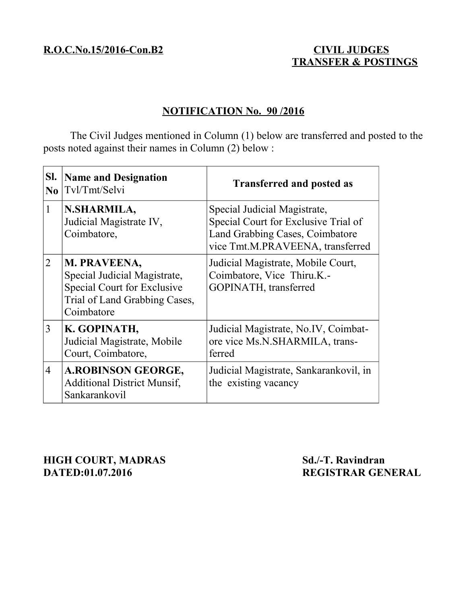## **TRANSFER & POSTINGS**

## **NOTIFICATION No. 90 /2016**

The Civil Judges mentioned in Column (1) below are transferred and posted to the posts noted against their names in Column (2) below :

| SI.<br>$\bf No$ | <b>Name and Designation</b><br>Tvl/Tmt/Selvi                                                                               | <b>Transferred and posted as</b>                                                                                                            |
|-----------------|----------------------------------------------------------------------------------------------------------------------------|---------------------------------------------------------------------------------------------------------------------------------------------|
| $\mathbf{1}$    | N.SHARMILA,<br>Judicial Magistrate IV,<br>Coimbatore,                                                                      | Special Judicial Magistrate,<br>Special Court for Exclusive Trial of<br>Land Grabbing Cases, Coimbatore<br>vice Tmt.M.PRAVEENA, transferred |
| 2               | M. PRAVEENA,<br>Special Judicial Magistrate,<br>Special Court for Exclusive<br>Trial of Land Grabbing Cases,<br>Coimbatore | Judicial Magistrate, Mobile Court,<br>Coimbatore, Vice Thiru.K.-<br>GOPINATH, transferred                                                   |
| 3               | K. GOPINATH,<br>Judicial Magistrate, Mobile<br>Court, Coimbatore,                                                          | Judicial Magistrate, No.IV, Coimbat-<br>ore vice Ms.N.SHARMILA, trans-<br>ferred                                                            |
| $\overline{4}$  | <b>A.ROBINSON GEORGE,</b><br><b>Additional District Munsif,</b><br>Sankarankovil                                           | Judicial Magistrate, Sankarankovil, in<br>the existing vacancy                                                                              |

**HIGH COURT, MADRAS** Sd./-T. Ravindran<br>
DATED:01.07.2016 REGISTRAR GEN

**REGISTRAR GENERAL**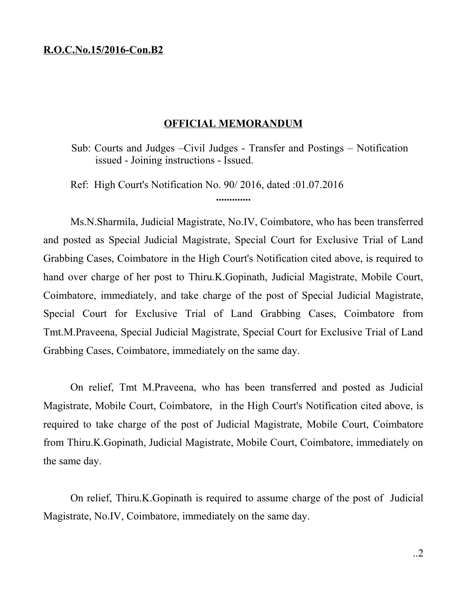## **R.O.C.No.15/2016-Con.B2**

## **OFFICIAL MEMORANDUM**

Sub: Courts and Judges –Civil Judges - Transfer and Postings – Notification issued - Joining instructions - Issued.

Ref: High Court's Notification No. 90/ 2016, dated :01.07.2016

**.............**

Ms.N.Sharmila, Judicial Magistrate, No.IV, Coimbatore, who has been transferred and posted as Special Judicial Magistrate, Special Court for Exclusive Trial of Land Grabbing Cases, Coimbatore in the High Court's Notification cited above, is required to hand over charge of her post to Thiru.K.Gopinath, Judicial Magistrate, Mobile Court, Coimbatore, immediately, and take charge of the post of Special Judicial Magistrate, Special Court for Exclusive Trial of Land Grabbing Cases, Coimbatore from Tmt.M.Praveena, Special Judicial Magistrate, Special Court for Exclusive Trial of Land Grabbing Cases, Coimbatore, immediately on the same day.

On relief, Tmt M.Praveena, who has been transferred and posted as Judicial Magistrate, Mobile Court, Coimbatore, in the High Court's Notification cited above, is required to take charge of the post of Judicial Magistrate, Mobile Court, Coimbatore from Thiru.K.Gopinath, Judicial Magistrate, Mobile Court, Coimbatore, immediately on the same day.

On relief, Thiru.K.Gopinath is required to assume charge of the post of Judicial Magistrate, No.IV, Coimbatore, immediately on the same day.